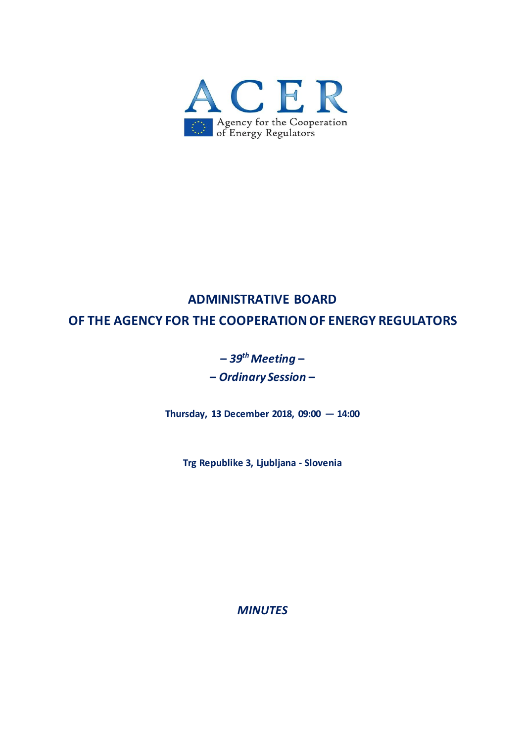

# **ADMINISTRATIVE BOARD**

**OF THE AGENCY FOR THE COOPERATION OF ENERGY REGULATORS**

# **–** *39 th Meeting* **– –** *Ordinary Session* **–**

**Thursday, 13 December 2018, 09:00 — 14:00**

**Trg Republike 3, Ljubljana - Slovenia**

*MINUTES*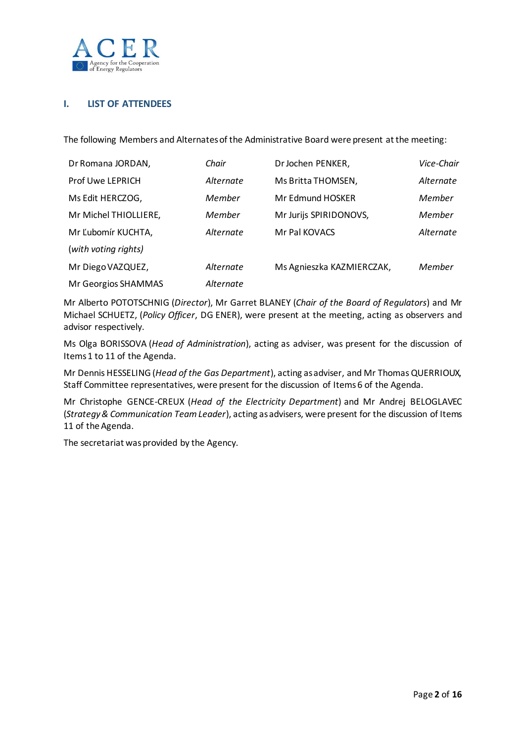

## **I. LIST OF ATTENDEES**

The following Members and Alternates of the Administrative Board were present atthe meeting:

| Dr Romana JORDAN,       | Chair     | Dr Jochen PENKER,         | Vice-Chair |
|-------------------------|-----------|---------------------------|------------|
| <b>Prof Uwe LEPRICH</b> | Alternate | Ms Britta THOMSEN,        | Alternate  |
| Ms Edit HERCZOG,        | Member    | Mr Edmund HOSKER          | Member     |
| Mr Michel THIOLLIERE,   | Member    | Mr Jurijs SPIRIDONOVS,    | Member     |
| Mr Ľubomír KUCHTA,      | Alternate | Mr Pal KOVACS             | Alternate  |
| (with voting rights)    |           |                           |            |
| Mr Diego VAZQUEZ,       | Alternate | Ms Agnieszka KAZMIERCZAK, | Member     |
| Mr Georgios SHAMMAS     | Alternate |                           |            |

Mr Alberto POTOTSCHNIG (*Director*), Mr Garret BLANEY (*Chair of the Board of Regulators*) and Mr Michael SCHUETZ, (*Policy Officer*, DG ENER), were present at the meeting, acting as observers and advisor respectively.

Ms Olga BORISSOVA (*Head of Administration*), acting as adviser, was present for the discussion of Items 1 to 11 of the Agenda.

Mr Dennis HESSELING (*Head of the Gas Department*), acting as adviser, and Mr Thomas QUERRIOUX, Staff Committee representatives, were present for the discussion of Items 6 of the Agenda.

Mr Christophe GENCE-CREUX (*Head of the Electricity Department*) and Mr Andrej BELOGLAVEC (*Strategy & Communication Team Leader*), acting as advisers, were present for the discussion of Items 11 of the Agenda.

The secretariat was provided by the Agency.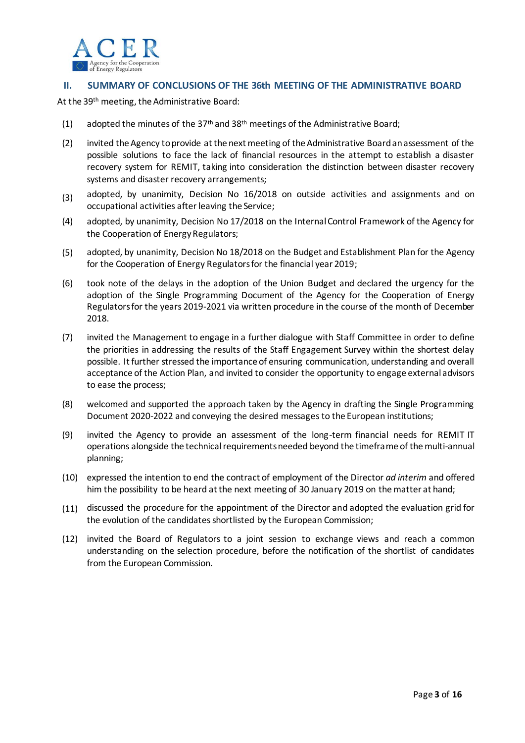

#### **II. SUMMARY OF CONCLUSIONS OF THE 36th MEETING OF THE ADMINISTRATIVE BOARD**

At the 39<sup>th</sup> meeting, the Administrative Board:

- (1) adopted the minutes of the 37<sup>th</sup> and 38<sup>th</sup> meetings of the Administrative Board;
- (2) invited the Agency to provide at the next meeting of the Administrative Board an assessment of the possible solutions to face the lack of financial resources in the attempt to establish a disaster recovery system for REMIT, taking into consideration the distinction between disaster recovery systems and disaster recovery arrangements;
- (3) adopted, by unanimity, Decision No 16/2018 on outside activities and assignments and on occupational activities after leaving the Service;
- (4) adopted, by unanimity, Decision No 17/2018 on the Internal Control Framework of the Agency for the Cooperation of Energy Regulators;
- (5) adopted, by unanimity, Decision No 18/2018 on the Budget and Establishment Plan for the Agency for the Cooperation of Energy Regulators for the financial year 2019;
- (6) took note of the delays in the adoption of the Union Budget and declared the urgency for the adoption of the Single Programming Document of the Agency for the Cooperation of Energy Regulators for the years 2019-2021 via written procedure in the course of the month of December 2018.
- (7) invited the Management to engage in a further dialogue with Staff Committee in order to define the priorities in addressing the results of the Staff Engagement Survey within the shortest delay possible. It further stressed the importance of ensuring communication, understanding and overall acceptance of the Action Plan, and invited to consider the opportunity to engage external advisors to ease the process;
- (8) welcomed and supported the approach taken by the Agency in drafting the Single Programming Document 2020-2022 and conveying the desired messages to the European institutions;
- (9) invited the Agency to provide an assessment of the long-term financial needs for REMIT IT operations alongside the technical requirements needed beyond the timeframe of the multi-annual planning;
- (10) expressed the intention to end the contract of employment of the Director *ad interim* and offered him the possibility to be heard at the next meeting of 30 January 2019 on the matter at hand;
- (11) discussed the procedure for the appointment of the Director and adopted the evaluation grid for the evolution of the candidates shortlisted by the European Commission;
- (12) invited the Board of Regulators to a joint session to exchange views and reach a common understanding on the selection procedure, before the notification of the shortlist of candidates from the European Commission.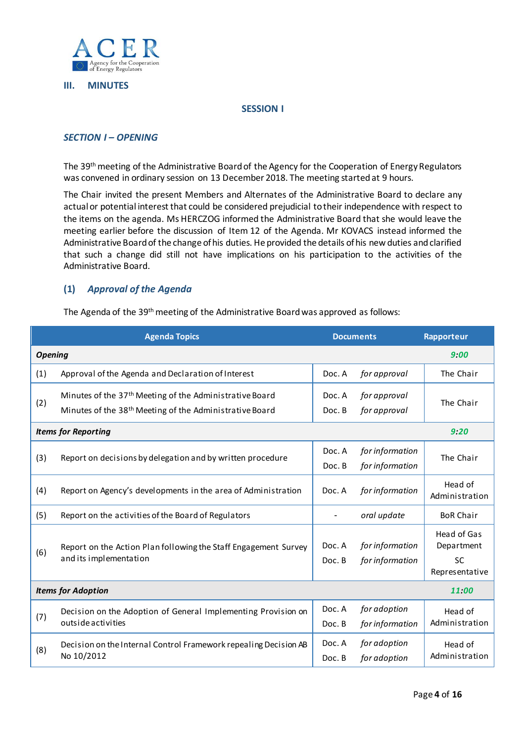

#### **III. MINUTES**

#### **SESSION I**

#### *SECTION I – OPENING*

The 39<sup>th</sup> meeting of the Administrative Board of the Agency for the Cooperation of Energy Regulators was convened in ordinary session on 13 December 2018. The meeting started at 9 hours.

The Chair invited the present Members and Alternates of the Administrative Board to declare any actual or potential interest that could be considered prejudicial to their independence with respect to the items on the agenda. Ms HERCZOG informed the Administrative Board that she would leave the meeting earlier before the discussion of Item 12 of the Agenda. Mr KOVACS instead informed the Administrative Board of the change of his duties. He provided the details of his new duties and clarified that such a change did still not have implications on his participation to the activities of the Administrative Board.

## **(1)** *Approval of the Agenda*

The Agenda of the 39<sup>th</sup> meeting of the Administrative Board was approved as follows:

| <b>Agenda Topics</b>       |                                                                                                                                            | <b>Documents</b> |                                    | Rapporteur                                               |
|----------------------------|--------------------------------------------------------------------------------------------------------------------------------------------|------------------|------------------------------------|----------------------------------------------------------|
| <b>Opening</b>             |                                                                                                                                            |                  |                                    | 9:00                                                     |
| (1)                        | Approval of the Agenda and Declaration of Interest                                                                                         | Doc. A           | for approval                       | The Chair                                                |
| (2)                        | Minutes of the 37 <sup>th</sup> Meeting of the Administrative Board<br>Minutes of the 38 <sup>th</sup> Meeting of the Administrative Board | Doc. A<br>Doc. B | for approval<br>for approval       | The Chair                                                |
| <b>Items for Reporting</b> | 9:20                                                                                                                                       |                  |                                    |                                                          |
| (3)                        | Report on decisions by delegation and by written procedure                                                                                 | Doc. A<br>Doc. B | for information<br>for information | The Chair                                                |
| (4)                        | Report on Agency's developments in the area of Administration                                                                              | Doc. A           | for information                    | Head of<br>Administration                                |
| (5)                        | Report on the activities of the Board of Regulators                                                                                        |                  | oral update                        | <b>BoR Chair</b>                                         |
| (6)                        | Report on the Action Plan following the Staff Engagement Survey<br>and its implementation                                                  | Doc. A<br>Doc. B | for information<br>for information | Head of Gas<br>Department<br><b>SC</b><br>Representative |
| <b>Items for Adoption</b>  |                                                                                                                                            |                  | 11:00                              |                                                          |
| (7)                        | Decision on the Adoption of General Implementing Provision on<br>outside activities                                                        | Doc. A<br>Doc. B | for adoption<br>for information    | Head of<br>Administration                                |
| (8)                        | Decision on the Internal Control Framework repealing Decision AB<br>No 10/2012                                                             | Doc. A<br>Doc. B | for adoption<br>for adoption       | Head of<br>Administration                                |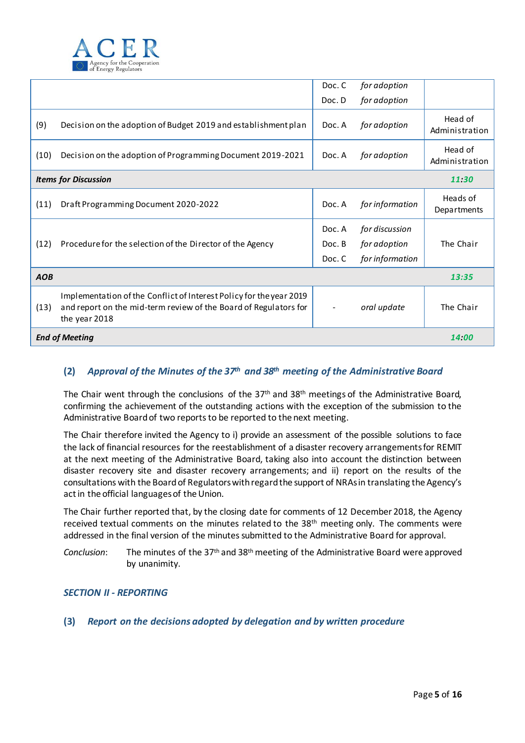

|                             |                                                                                                                                                          | Doc. C | for adoption    |                           |
|-----------------------------|----------------------------------------------------------------------------------------------------------------------------------------------------------|--------|-----------------|---------------------------|
|                             |                                                                                                                                                          | Doc. D | for adoption    |                           |
| (9)                         | Decision on the adoption of Budget 2019 and establishment plan                                                                                           | Doc. A | for adoption    | Head of<br>Administration |
| (10)                        | Decision on the adoption of Programming Document 2019-2021                                                                                               | Doc. A | for adoption    | Head of<br>Administration |
| <b>Items for Discussion</b> |                                                                                                                                                          |        |                 | 11.30                     |
| (11)                        | Draft Programming Document 2020-2022                                                                                                                     | Doc. A | for information | Heads of<br>Departments   |
|                             |                                                                                                                                                          | Doc. A | for discussion  |                           |
| (12)                        | Procedure for the selection of the Director of the Agency                                                                                                | Doc. B | for adoption    | The Chair                 |
|                             |                                                                                                                                                          | Doc. C | for information |                           |
| <b>AOB</b>                  |                                                                                                                                                          |        |                 | 13:35                     |
| (13)                        | Implementation of the Conflict of Interest Policy for the year 2019<br>and report on the mid-term review of the Board of Regulators for<br>the year 2018 |        | oral update     | The Chair                 |
| <b>End of Meeting</b>       |                                                                                                                                                          |        |                 |                           |

# **(2)** *Approval of the Minutes of the 37 th and 38 th meeting of the Administrative Board*

The Chair went through the conclusions of the 37<sup>th</sup> and 38<sup>th</sup> meetings of the Administrative Board, confirming the achievement of the outstanding actions with the exception of the submission to the Administrative Board of two reports to be reported to the next meeting.

The Chair therefore invited the Agency to i) provide an assessment of the possible solutions to face the lack of financial resources for the reestablishment of a disaster recovery arrangementsfor REMIT at the next meeting of the Administrative Board, taking also into account the distinction between disaster recovery site and disaster recovery arrangements; and ii) report on the results of the consultations with the Board of Regulators with regard the support of NRAs in translating the Agency's act in the official languages of the Union.

The Chair further reported that, by the closing date for comments of 12 December 2018, the Agency received textual comments on the minutes related to the 38<sup>th</sup> meeting only. The comments were addressed in the final version of the minutes submitted to the Administrative Board for approval.

Conclusion: The minutes of the 37<sup>th</sup> and 38<sup>th</sup> meeting of the Administrative Board were approved by unanimity.

## *SECTION II - REPORTING*

#### **(3)** *Report on the decisions adopted by delegation and by written procedure*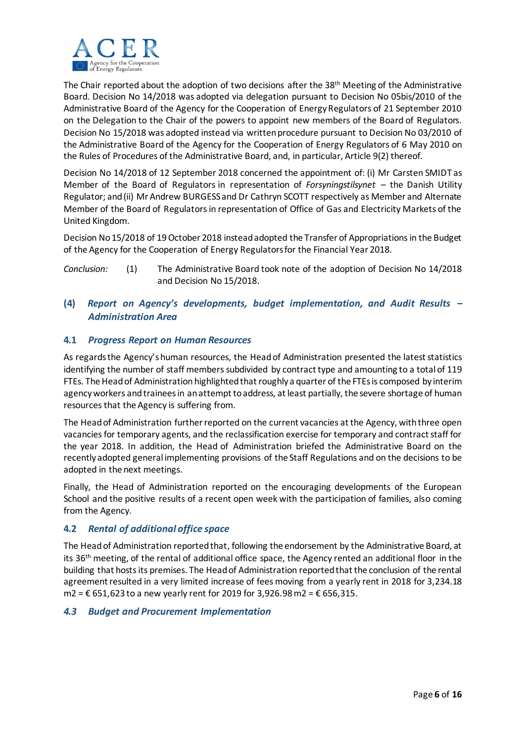

The Chair reported about the adoption of two decisions after the 38<sup>th</sup> Meeting of the Administrative Board. Decision No 14/2018 was adopted via delegation pursuant to Decision No 05bis/2010 of the Administrative Board of the Agency for the Cooperation of Energy Regulators of 21 September 2010 on the Delegation to the Chair of the powers to appoint new members of the Board of Regulators. Decision No 15/2018 was adopted instead via written procedure pursuant to Decision No 03/2010 of the Administrative Board of the Agency for the Cooperation of Energy Regulators of 6 May 2010 on the Rules of Procedures of the Administrative Board, and, in particular, Article 9(2) thereof.

Decision No 14/2018 of 12 September 2018 concerned the appointment of: (i) Mr Carsten SMIDT as Member of the Board of Regulators in representation of *Forsyningstilsynet* – the Danish Utility Regulator; and (ii) Mr Andrew BURGESS and Dr Cathryn SCOTT respectively as Member and Alternate Member of the Board of Regulators in representation of Office of Gas and Electricity Markets of the United Kingdom.

Decision No15/2018 of 19 October 2018 instead adopted the Transfer of Appropriations in the Budget of the Agency for the Cooperation of Energy Regulators for the Financial Year 2018.

*Conclusion:* (1) The Administrative Board took note of the adoption of Decision No 14/2018 and Decision No 15/2018.

# **(4)** *Report on Agency's developments, budget implementation, and Audit Results – Administration Area*

## **4.1** *Progress Report on Human Resources*

As regardsthe Agency's human resources, the Head of Administration presented the latest statistics identifying the number of staff members subdivided by contract type and amounting to a total of 119 FTEs. The Head of Administration highlighted that roughly a quarter of the FTEsis composed by interim agency workers and traineesin an attempt to address, at least partially, the severe shortage of human resources that the Agency is suffering from.

The Head of Administration further reported on the current vacancies at the Agency, with three open vacancies for temporary agents, and the reclassification exercise for temporary and contract staff for the year 2018. In addition, the Head of Administration briefed the Administrative Board on the recently adopted general implementing provisions of the Staff Regulations and on the decisions to be adopted in the next meetings.

Finally, the Head of Administration reported on the encouraging developments of the European School and the positive results of a recent open week with the participation of families, also coming from the Agency.

## **4.2** *Rental of additional office space*

The Head of Administration reported that, following the endorsement by the Administrative Board, at its 36<sup>th</sup> meeting, of the rental of additional office space, the Agency rented an additional floor in the building that hosts its premises. The Head of Administration reported that the conclusion of the rental agreement resulted in a very limited increase of fees moving from a yearly rent in 2018 for 3,234.18 m2 =  $€$  651,623 to a new yearly rent for 2019 for 3,926.98 m2 =  $€$  656,315.

## *4.3 Budget and Procurement Implementation*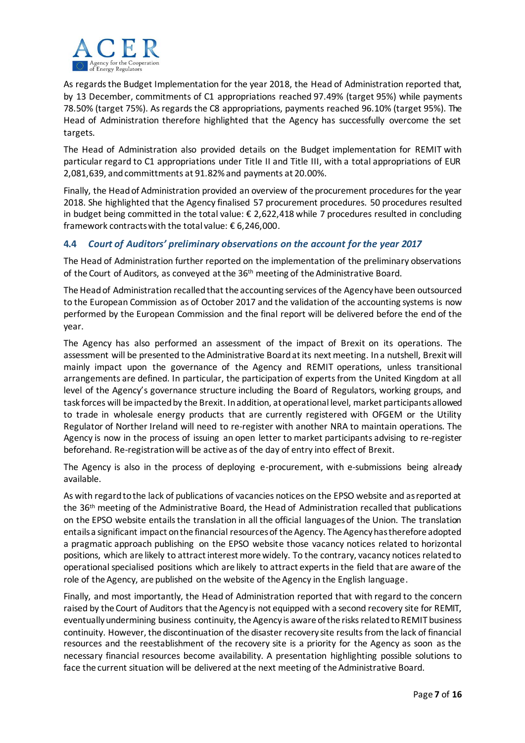

As regards the Budget Implementation for the year 2018, the Head of Administration reported that, by 13 December, commitments of C1 appropriations reached 97.49% (target 95%) while payments 78.50% (target 75%). As regards the C8 appropriations, payments reached 96.10% (target 95%). The Head of Administration therefore highlighted that the Agency has successfully overcome the set targets.

The Head of Administration also provided details on the Budget implementation for REMIT with particular regard to C1 appropriations under Title II and Title III, with a total appropriations of EUR 2,081,639, and committments at 91.82% and payments at 20.00%.

Finally, the Head of Administration provided an overview of the procurement procedures for the year 2018. She highlighted that the Agency finalised 57 procurement procedures. 50 procedures resulted in budget being committed in the total value: € 2,622,418 while 7 procedures resulted in concluding framework contracts with the total value: € 6,246,000.

# **4.4** *Court of Auditors' preliminary observations on the account for the year 2017*

The Head of Administration further reported on the implementation of the preliminary observations of the Court of Auditors, as conveyed at the 36th meeting of the Administrative Board.

The Head of Administration recalled that the accounting services of the Agency have been outsourced to the European Commission as of October 2017 and the validation of the accounting systems is now performed by the European Commission and the final report will be delivered before the end of the year.

The Agency has also performed an assessment of the impact of Brexit on its operations. The assessment will be presented to the Administrative Board at its next meeting. In a nutshell, Brexit will mainly impact upon the governance of the Agency and REMIT operations, unless transitional arrangements are defined. In particular, the participation of experts from the United Kingdom at all level of the Agency's governance structure including the Board of Regulators, working groups, and task forces will be impacted by the Brexit. In addition, at operational level, market participants allowed to trade in wholesale energy products that are currently registered with OFGEM or the Utility Regulator of Norther Ireland will need to re-register with another NRA to maintain operations. The Agency is now in the process of issuing an open letter to market participants advising to re-register beforehand. Re-registration will be active as of the day of entry into effect of Brexit.

The Agency is also in the process of deploying e-procurement, with e-submissions being already available.

As with regard to the lack of publications of vacancies notices on the EPSO website and as reported at the 36th meeting of the Administrative Board, the Head of Administration recalled that publications on the EPSO website entails the translation in all the official languages of the Union. The translation entails a significant impact on the financial resources of the Agency. The Agency has therefore adopted a pragmatic approach publishing on the EPSO website those vacancy notices related to horizontal positions, which are likely to attract interest more widely. To the contrary, vacancy notices related to operational specialised positions which are likely to attract experts in the field that are aware of the role of the Agency, are published on the website of the Agency in the English language.

Finally, and most importantly, the Head of Administration reported that with regard to the concern raised by the Court of Auditors that the Agency is not equipped with a second recovery site for REMIT, eventually undermining business continuity, the Agency is aware of the risks related to REMIT business continuity. However, the discontinuation of the disaster recovery site results from the lack of financial resources and the reestablishment of the recovery site is a priority for the Agency as soon as the necessary financial resources become availability. A presentation highlighting possible solutions to face the current situation will be delivered at the next meeting of the Administrative Board.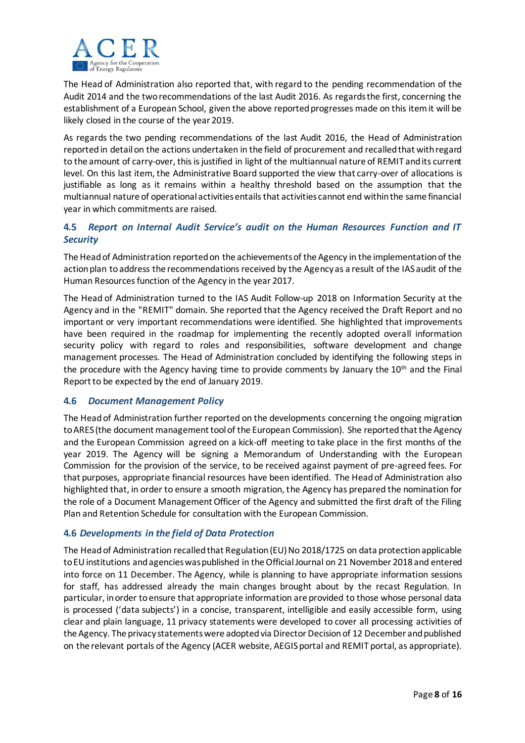

The Head of Administration also reported that, with regard to the pending recommendation of the Audit 2014 and the two recommendations of the last Audit 2016. As regards the first, concerning the establishment of a European School, given the above reported progresses made on this item it will be likely closed in the course of the year 2019.

As regards the two pending recommendations of the last Audit 2016, the Head of Administration reported in detail on the actions undertaken in the field of procurement and recalled that with regard to the amount of carry-over, thisis justified in light of the multiannual nature of REMIT and its current level. On this last item, the Administrative Board supported the view that carry-over of allocations is justifiable as long as it remains within a healthy threshold based on the assumption that the multiannual nature of operational activities entails that activities cannot end within the same financial year in which commitments are raised.

# **4.5** *Report on Internal Audit Service's audit on the Human Resources Function and IT Security*

The Head of Administration reported on the achievements of the Agency in the implementation of the action plan to address the recommendations received by the Agency as a result of the IAS audit of the Human Resources function of the Agency in the year 2017.

The Head of Administration turned to the IAS Audit Follow-up 2018 on Information Security at the Agency and in the "REMIT" domain. She reported that the Agency received the Draft Report and no important or very important recommendations were identified. She highlighted that improvements have been required in the roadmap for implementing the recently adopted overall information security policy with regard to roles and responsibilities, software development and change management processes. The Head of Administration concluded by identifying the following steps in the procedure with the Agency having time to provide comments by January the 10<sup>th</sup> and the Final Report to be expected by the end of January 2019.

## **4.6** *Document Management Policy*

The Head of Administration further reported on the developments concerning the ongoing migration to ARES (the document management tool of the European Commission). She reported that the Agency and the European Commission agreed on a kick-off meeting to take place in the first months of the year 2019. The Agency will be signing a Memorandum of Understanding with the European Commission for the provision of the service, to be received against payment of pre-agreed fees. For that purposes, appropriate financial resources have been identified. The Head of Administration also highlighted that, in order to ensure a smooth migration, the Agency has prepared the nomination for the role of a Document Management Officer of the Agency and submitted the first draft of the Filing Plan and Retention Schedule for consultation with the European Commission.

## **4.6** *Developments in the field of Data Protection*

The Head of Administration recalled that Regulation (EU) No 2018/1725 on data protection applicable to EU institutions and agencies was published in the Official Journal on 21 November 2018 and entered into force on 11 December. The Agency, while is planning to have appropriate information sessions for staff, has addressed already the main changes brought about by the recast Regulation. In particular, in order to ensure that appropriate information are provided to those whose personal data is processed ('data subjects') in a concise, transparent, intelligible and easily accessible form, using clear and plain language, 11 privacy statements were developed to cover all processing activities of the Agency. The privacy statements were adopted via Director Decision of 12 December and published on the relevant portals of the Agency (ACER website, AEGIS portal and REMIT portal, as appropriate).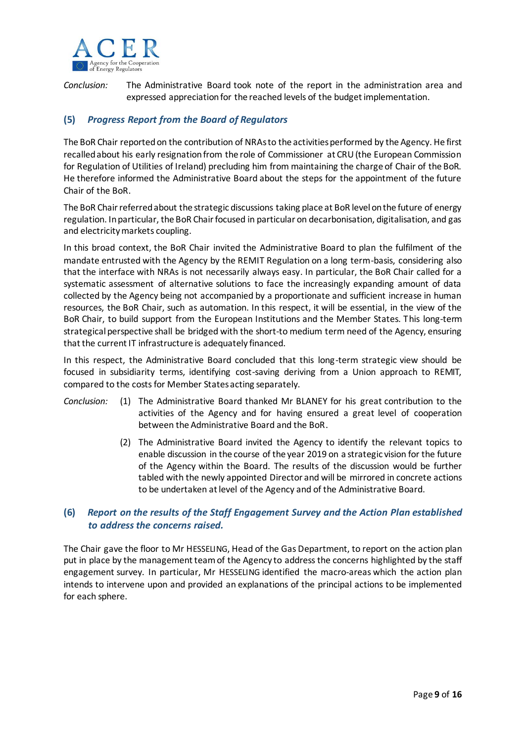

*Conclusion:* The Administrative Board took note of the report in the administration area and expressed appreciation for the reached levels of the budget implementation.

# **(5)** *Progress Report from the Board of Regulators*

The BoR Chair reported on the contribution of NRAsto the activities performed by the Agency. He first recalled about his early resignation from the role of Commissioner at CRU (the European Commission for Regulation of Utilities of Ireland) precluding him from maintaining the charge of Chair of the BoR. He therefore informed the Administrative Board about the steps for the appointment of the future Chair of the BoR.

The BoR Chair referred about the strategic discussions taking place at BoR level on the future of energy regulation. In particular, the BoR Chair focused in particular on decarbonisation, digitalisation, and gas and electricity markets coupling.

In this broad context, the BoR Chair invited the Administrative Board to plan the fulfilment of the mandate entrusted with the Agency by the REMIT Regulation on a long term-basis, considering also that the interface with NRAs is not necessarily always easy. In particular, the BoR Chair called for a systematic assessment of alternative solutions to face the increasingly expanding amount of data collected by the Agency being not accompanied by a proportionate and sufficient increase in human resources, the BoR Chair, such as automation. In this respect, it will be essential, in the view of the BoR Chair, to build support from the European Institutions and the Member States. This long-term strategical perspective shall be bridged with the short-to medium term need of the Agency, ensuring that the current IT infrastructure is adequately financed.

In this respect, the Administrative Board concluded that this long-term strategic view should be focused in subsidiarity terms, identifying cost-saving deriving from a Union approach to REMIT, compared to the costs for Member States acting separately.

- *Conclusion:* (1) The Administrative Board thanked Mr BLANEY for his great contribution to the activities of the Agency and for having ensured a great level of cooperation between the Administrative Board and the BoR.
	- (2) The Administrative Board invited the Agency to identify the relevant topics to enable discussion in the course of the year 2019 on a strategic vision for the future of the Agency within the Board. The results of the discussion would be further tabled with the newly appointed Director and will be mirrored in concrete actions to be undertaken at level of the Agency and of the Administrative Board.

# **(6)** *Report on the results of the Staff Engagement Survey and the Action Plan established to address the concerns raised.*

The Chair gave the floor to Mr HESSELING, Head of the Gas Department, to report on the action plan put in place by the management team of the Agency to address the concerns highlighted by the staff engagement survey. In particular, Mr HESSELING identified the macro-areas which the action plan intends to intervene upon and provided an explanations of the principal actions to be implemented for each sphere.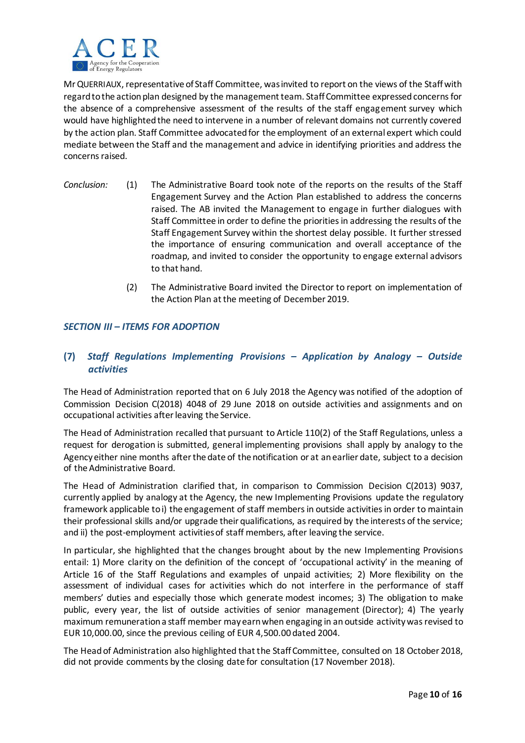

Mr QUERRIAUX, representative of Staff Committee, was invited to report on the views of the Staff with regard to the action plan designed by the management team. Staff Committee expressed concerns for the absence of a comprehensive assessment of the results of the staff engagement survey which would have highlighted the need to intervene in a number of relevant domains not currently covered by the action plan. Staff Committee advocated for the employment of an external expert which could mediate between the Staff and the management and advice in identifying priorities and address the concerns raised.

- *Conclusion:* (1) The Administrative Board took note of the reports on the results of the Staff Engagement Survey and the Action Plan established to address the concerns raised. The AB invited the Management to engage in further dialogues with Staff Committee in order to define the priorities in addressing the results of the Staff Engagement Survey within the shortest delay possible. It further stressed the importance of ensuring communication and overall acceptance of the roadmap, and invited to consider the opportunity to engage external advisors to that hand.
	- (2) The Administrative Board invited the Director to report on implementation of the Action Plan at the meeting of December 2019.

#### *SECTION III – ITEMS FOR ADOPTION*

# **(7)** *Staff Regulations Implementing Provisions – Application by Analogy – Outside activities*

The Head of Administration reported that on 6 July 2018 the Agency was notified of the adoption of Commission Decision C(2018) 4048 of 29 June 2018 on outside activities and assignments and on occupational activities after leaving the Service.

The Head of Administration recalled that pursuant to Article 110(2) of the Staff Regulations, unless a request for derogation is submitted, general implementing provisions shall apply by analogy to the Agency either nine months after the date of the notification or at an earlier date, subject to a decision of the Administrative Board.

The Head of Administration clarified that, in comparison to Commission Decision C(2013) 9037, currently applied by analogy at the Agency, the new Implementing Provisions update the regulatory framework applicable to i) the engagement of staff members in outside activities in order to maintain their professional skills and/or upgrade their qualifications, as required by the interests of the service; and ii) the post-employment activities of staff members, after leaving the service.

In particular, she highlighted that the changes brought about by the new Implementing Provisions entail: 1) More clarity on the definition of the concept of 'occupational activity' in the meaning of Article 16 of the Staff Regulations and examples of unpaid activities; 2) More flexibility on the assessment of individual cases for activities which do not interfere in the performance of staff members' duties and especially those which generate modest incomes; 3) The obligation to make public, every year, the list of outside activities of senior management (Director); 4) The yearly maximum remuneration a staff member may earn when engaging in an outside activity was revised to EUR 10,000.00, since the previous ceiling of EUR 4,500.00 dated 2004.

The Head of Administration also highlighted that the Staff Committee, consulted on 18 October 2018, did not provide comments by the closing date for consultation (17 November 2018).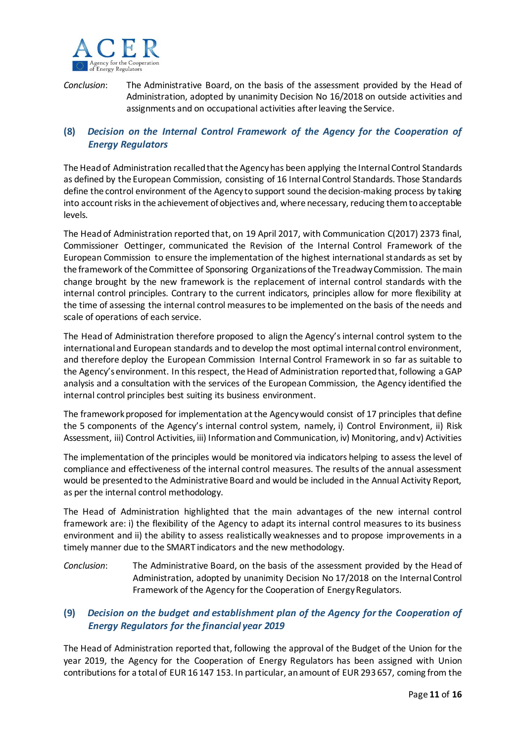

*Conclusion*: The Administrative Board, on the basis of the assessment provided by the Head of Administration, adopted by unanimity Decision No 16/2018 on outside activities and assignments and on occupational activities after leaving the Service.

# **(8)** *Decision on the Internal Control Framework of the Agency for the Cooperation of Energy Regulators*

The Head of Administration recalled that the Agency has been applying the Internal Control Standards as defined by the European Commission, consisting of 16 Internal Control Standards. Those Standards define the control environment of the Agency to support sound the decision-making process by taking into account risks in the achievement of objectives and, where necessary, reducing them to acceptable levels.

The Head of Administration reported that, on 19 April 2017, with Communication C(2017) 2373 final, Commissioner Oettinger, communicated the Revision of the Internal Control Framework of the European Commission to ensure the implementation of the highest international standards as set by the framework of the Committee of Sponsoring Organizations of the Treadway Commission. The main change brought by the new framework is the replacement of internal control standards with the internal control principles. Contrary to the current indicators, principles allow for more flexibility at the time of assessing the internal control measures to be implemented on the basis of the needs and scale of operations of each service.

The Head of Administration therefore proposed to align the Agency's internal control system to the international and European standards and to develop the most optimal internal control environment, and therefore deploy the European Commission Internal Control Framework in so far as suitable to the Agency's environment. In this respect, the Head of Administration reported that, following a GAP analysis and a consultation with the services of the European Commission, the Agency identified the internal control principles best suiting its business environment.

The framework proposed for implementation at the Agency would consist of 17 principles that define the 5 components of the Agency's internal control system, namely, i) Control Environment, ii) Risk Assessment, iii) Control Activities, iii) Information and Communication, iv) Monitoring, and v) Activities

The implementation of the principles would be monitored via indicators helping to assess the level of compliance and effectiveness of the internal control measures. The results of the annual assessment would be presented to the Administrative Board and would be included in the Annual Activity Report, as per the internal control methodology.

The Head of Administration highlighted that the main advantages of the new internal control framework are: i) the flexibility of the Agency to adapt its internal control measures to its business environment and ii) the ability to assess realistically weaknesses and to propose improvements in a timely manner due to the SMART indicators and the new methodology.

*Conclusion*: The Administrative Board, on the basis of the assessment provided by the Head of Administration, adopted by unanimity Decision No 17/2018 on the Internal Control Framework of the Agency for the Cooperation of Energy Regulators.

# **(9)** *Decision on the budget and establishment plan of the Agency for the Cooperation of Energy Regulators for the financial year 2019*

The Head of Administration reported that, following the approval of the Budget of the Union for the year 2019, the Agency for the Cooperation of Energy Regulators has been assigned with Union contributions for a total of EUR 16 147 153. In particular, an amount of EUR 293 657, coming from the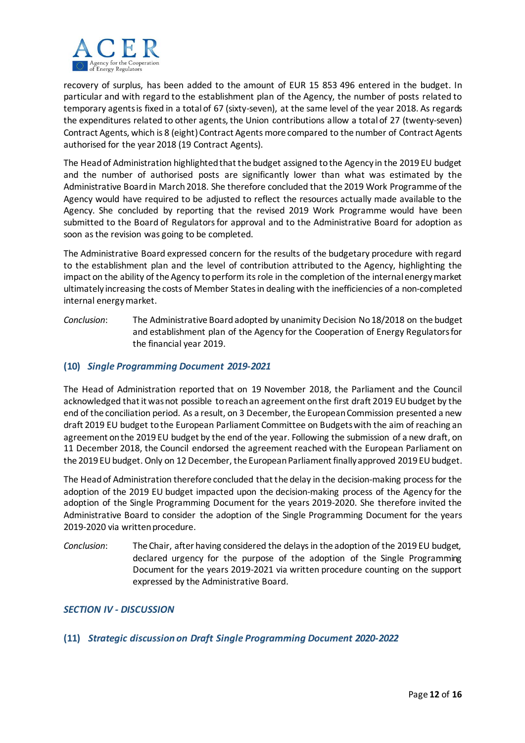

recovery of surplus, has been added to the amount of EUR 15 853 496 entered in the budget. In particular and with regard to the establishment plan of the Agency, the number of posts related to temporary agents is fixed in a total of 67 (sixty-seven), at the same level of the year 2018. As regards the expenditures related to other agents, the Union contributions allow a total of 27 (twenty-seven) Contract Agents, which is 8 (eight) Contract Agents more compared to the number of Contract Agents authorised for the year 2018 (19 Contract Agents).

The Head of Administration highlighted that the budget assigned to the Agency in the 2019 EU budget and the number of authorised posts are significantly lower than what was estimated by the Administrative Board in March 2018. She therefore concluded that the 2019 Work Programme of the Agency would have required to be adjusted to reflect the resources actually made available to the Agency. She concluded by reporting that the revised 2019 Work Programme would have been submitted to the Board of Regulators for approval and to the Administrative Board for adoption as soon as the revision was going to be completed.

The Administrative Board expressed concern for the results of the budgetary procedure with regard to the establishment plan and the level of contribution attributed to the Agency, highlighting the impact on the ability of the Agency to perform its role in the completion of the internal energy market ultimately increasing the costs of Member States in dealing with the inefficiencies of a non-completed internal energy market.

*Conclusion*: The Administrative Board adopted by unanimity Decision No 18/2018 on the budget and establishment plan of the Agency for the Cooperation of Energy Regulatorsfor the financial year 2019.

## **(10)** *Single Programming Document 2019-2021*

The Head of Administration reported that on 19 November 2018, the Parliament and the Council acknowledged that it was not possible to reach an agreement on the first draft 2019 EU budget by the end of the conciliation period. As a result, on 3 December, the European Commission presented a new draft 2019 EU budget to the European Parliament Committee on Budgets with the aim of reaching an agreement on the 2019 EU budget by the end of the year. Following the submission of a new draft, on 11 December 2018, the Council endorsed the agreement reached with the European Parliament on the 2019 EU budget. Only on 12 December, the European Parliament finally approved 2019 EU budget.

The Head of Administration therefore concluded that the delay in the decision-making process for the adoption of the 2019 EU budget impacted upon the decision-making process of the Agency for the adoption of the Single Programming Document for the years 2019-2020. She therefore invited the Administrative Board to consider the adoption of the Single Programming Document for the years 2019-2020 via written procedure.

*Conclusion*: The Chair, after having considered the delays in the adoption of the 2019 EU budget, declared urgency for the purpose of the adoption of the Single Programming Document for the years 2019-2021 via written procedure counting on the support expressed by the Administrative Board.

## *SECTION IV - DISCUSSION*

## **(11)** *Strategic discussion on Draft Single Programming Document 2020-2022*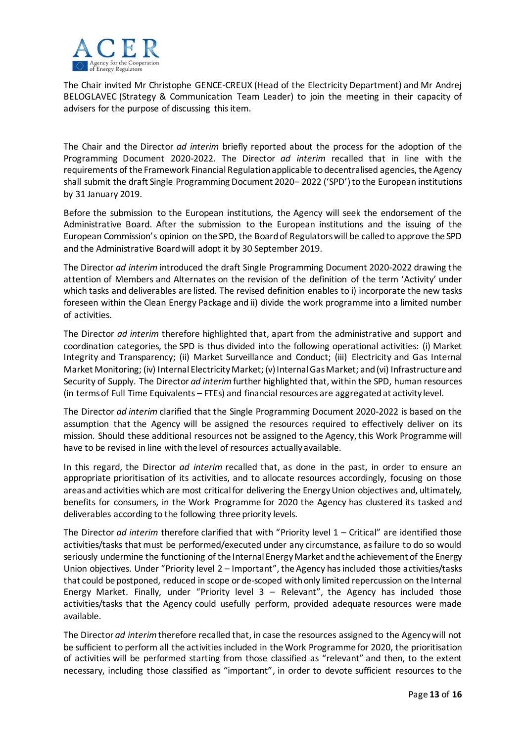

The Chair invited Mr Christophe GENCE-CREUX (Head of the Electricity Department) and Mr Andrej BELOGLAVEC (Strategy & Communication Team Leader) to join the meeting in their capacity of advisers for the purpose of discussing this item.

The Chair and the Director *ad interim* briefly reported about the process for the adoption of the Programming Document 2020-2022. The Director *ad interim* recalled that in line with the requirements of the Framework Financial Regulation applicable to decentralised agencies, the Agency shall submit the draft Single Programming Document 2020– 2022 ('SPD')to the European institutions by 31 January 2019.

Before the submission to the European institutions, the Agency will seek the endorsement of the Administrative Board. After the submission to the European institutions and the issuing of the European Commission's opinion on the SPD, the Board of Regulators will be called to approve the SPD and the Administrative Board will adopt it by 30 September 2019.

The Director *ad interim* introduced the draft Single Programming Document 2020-2022 drawing the attention of Members and Alternates on the revision of the definition of the term 'Activity' under which tasks and deliverables are listed. The revised definition enables to i) incorporate the new tasks foreseen within the Clean Energy Package and ii) divide the work programme into a limited number of activities.

The Director *ad interim* therefore highlighted that, apart from the administrative and support and coordination categories, the SPD is thus divided into the following operational activities: (i) Market Integrity and Transparency; (ii) Market Surveillance and Conduct; (iii) Electricity and Gas Internal Market Monitoring; (iv) Internal Electricity Market; (v) Internal Gas Market; and (vi) Infrastructure and Security of Supply. The Director *ad interim*further highlighted that, within the SPD, human resources (in terms of Full Time Equivalents – FTEs) and financial resources are aggregated at activity level.

The Director *ad interim* clarified that the Single Programming Document 2020-2022 is based on the assumption that the Agency will be assigned the resources required to effectively deliver on its mission. Should these additional resources not be assigned to the Agency, this Work Programme will have to be revised in line with the level of resources actually available.

In this regard, the Director *ad interim* recalled that, as done in the past, in order to ensure an appropriate prioritisation of its activities, and to allocate resources accordingly, focusing on those areas and activities which are most critical for delivering the Energy Union objectives and, ultimately, benefits for consumers, in the Work Programme for 2020 the Agency has clustered its tasked and deliverables according to the following three priority levels.

The Director *ad interim* therefore clarified that with "Priority level 1 – Critical" are identified those activities/tasks that must be performed/executed under any circumstance, as failure to do so would seriously undermine the functioning of the Internal Energy Market and the achievement of the Energy Union objectives. Under "Priority level 2 – Important", the Agency has included those activities/tasks that could be postponed, reduced in scope or de-scoped with only limited repercussion on the Internal Energy Market. Finally, under "Priority level 3 – Relevant", the Agency has included those activities/tasks that the Agency could usefully perform, provided adequate resources were made available.

The Director *ad interim*therefore recalled that, in case the resources assigned to the Agency will not be sufficient to perform all the activities included in the Work Programme for 2020, the prioritisation of activities will be performed starting from those classified as "relevant" and then, to the extent necessary, including those classified as "important", in order to devote sufficient resources to the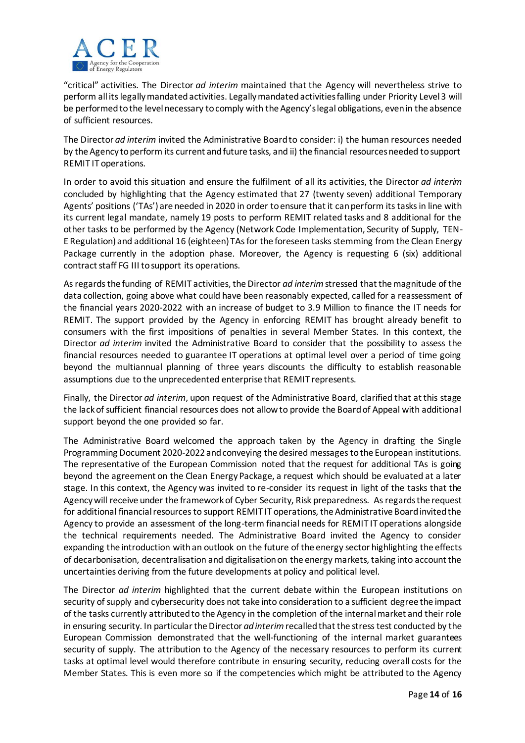

"critical" activities. The Director *ad interim* maintained that the Agency will nevertheless strive to perform all its legally mandated activities. Legally mandated activities falling under Priority Level 3 will be performed to the level necessary to comply with the Agency's legal obligations, even in the absence of sufficient resources.

The Director *ad interim* invited the Administrative Board to consider: i) the human resources needed by the Agency to perform its current and future tasks, and ii) the financial resources needed to support REMIT IT operations.

In order to avoid this situation and ensure the fulfilment of all its activities, the Director *ad interim* concluded by highlighting that the Agency estimated that 27 (twenty seven) additional Temporary Agents' positions ('TAs') are needed in 2020 in order to ensure that it can perform its tasks in line with its current legal mandate, namely 19 posts to perform REMIT related tasks and 8 additional for the other tasks to be performed by the Agency (Network Code Implementation, Security of Supply, TEN-E Regulation) and additional 16 (eighteen) TAs for the foreseen tasks stemming from the Clean Energy Package currently in the adoption phase. Moreover, the Agency is requesting 6 (six) additional contract staff FG III to support its operations.

As regards the funding of REMIT activities, the Director *ad interim*stressed that the magnitude of the data collection, going above what could have been reasonably expected, called for a reassessment of the financial years 2020-2022 with an increase of budget to 3.9 Million to finance the IT needs for REMIT. The support provided by the Agency in enforcing REMIT has brought already benefit to consumers with the first impositions of penalties in several Member States. In this context, the Director *ad interim* invited the Administrative Board to consider that the possibility to assess the financial resources needed to guarantee IT operations at optimal level over a period of time going beyond the multiannual planning of three years discounts the difficulty to establish reasonable assumptions due to the unprecedented enterprise that REMIT represents.

Finally, the Director *ad interim*, upon request of the Administrative Board, clarified that at this stage the lack of sufficient financial resources does not allow to provide the Board of Appeal with additional support beyond the one provided so far.

The Administrative Board welcomed the approach taken by the Agency in drafting the Single Programming Document 2020-2022 and conveying the desired messages to the European institutions. The representative of the European Commission noted that the request for additional TAs is going beyond the agreement on the Clean Energy Package, a request which should be evaluated at a later stage. In this context, the Agency was invited to re-consider its request in light of the tasks that the Agency will receive under the framework of Cyber Security, Risk preparedness. As regards the request for additional financial resources to support REMIT IT operations, the Administrative Board invited the Agency to provide an assessment of the long-term financial needs for REMIT IT operations alongside the technical requirements needed. The Administrative Board invited the Agency to consider expanding the introduction with an outlook on the future of the energy sector highlighting the effects of decarbonisation, decentralisation and digitalisation on the energy markets, taking into account the uncertainties deriving from the future developments at policy and political level.

The Director *ad interim* highlighted that the current debate within the European institutions on security of supply and cybersecurity does not take into consideration to a sufficient degree the impact of the tasks currently attributed to the Agency in the completion of the internal market and their role in ensuring security. In particular the Director *ad interim*recalled that the stress test conducted by the European Commission demonstrated that the well-functioning of the internal market guarantees security of supply. The attribution to the Agency of the necessary resources to perform its current tasks at optimal level would therefore contribute in ensuring security, reducing overall costs for the Member States. This is even more so if the competencies which might be attributed to the Agency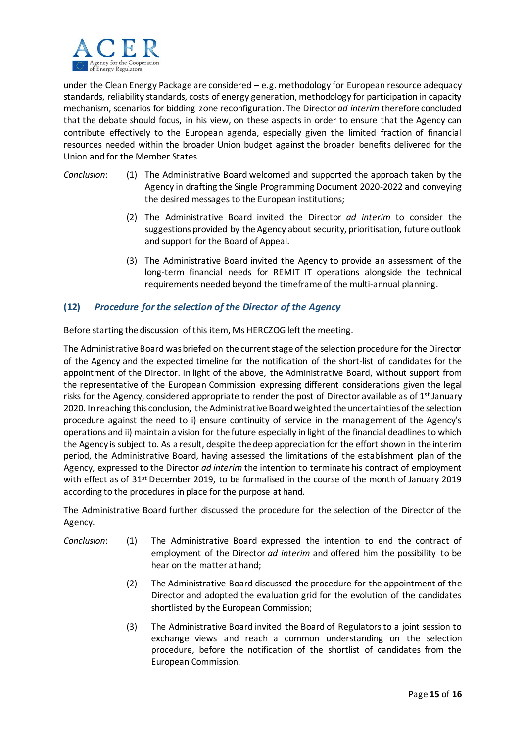

under the Clean Energy Package are considered – e.g. methodology for European resource adequacy standards, reliability standards, costs of energy generation, methodology for participation in capacity mechanism, scenarios for bidding zone reconfiguration. The Director *ad interim* therefore concluded that the debate should focus, in his view, on these aspects in order to ensure that the Agency can contribute effectively to the European agenda, especially given the limited fraction of financial resources needed within the broader Union budget against the broader benefits delivered for the Union and for the Member States.

- *Conclusion*: (1) The Administrative Board welcomed and supported the approach taken by the Agency in drafting the Single Programming Document 2020-2022 and conveying the desired messages to the European institutions;
	- (2) The Administrative Board invited the Director *ad interim* to consider the suggestions provided by the Agency about security, prioritisation, future outlook and support for the Board of Appeal.
	- (3) The Administrative Board invited the Agency to provide an assessment of the long-term financial needs for REMIT IT operations alongside the technical requirements needed beyond the timeframe of the multi-annual planning.

# **(12)** *Procedure for the selection of the Director of the Agency*

Before starting the discussion of this item, Ms HERCZOG left the meeting.

The Administrative Board was briefed on the current stage of the selection procedure for the Director of the Agency and the expected timeline for the notification of the short-list of candidates for the appointment of the Director. In light of the above, the Administrative Board, without support from the representative of the European Commission expressing different considerations given the legal risks for the Agency, considered appropriate to render the post of Director available as of  $1<sup>st</sup>$  January 2020. In reaching this conclusion, the Administrative Board weighted the uncertainties of the selection procedure against the need to i) ensure continuity of service in the management of the Agency's operations and ii) maintain a vision for the future especially in light of the financial deadlines to which the Agency is subject to. As a result, despite the deep appreciation for the effort shown in the interim period, the Administrative Board, having assessed the limitations of the establishment plan of the Agency, expressed to the Director *ad interim* the intention to terminate his contract of employment with effect as of 31<sup>st</sup> December 2019, to be formalised in the course of the month of January 2019 according to the procedures in place for the purpose at hand.

The Administrative Board further discussed the procedure for the selection of the Director of the Agency.

- *Conclusion*: (1) The Administrative Board expressed the intention to end the contract of employment of the Director *ad interim* and offered him the possibility to be hear on the matter at hand;
	- (2) The Administrative Board discussed the procedure for the appointment of the Director and adopted the evaluation grid for the evolution of the candidates shortlisted by the European Commission;
	- (3) The Administrative Board invited the Board of Regulators to a joint session to exchange views and reach a common understanding on the selection procedure, before the notification of the shortlist of candidates from the European Commission.